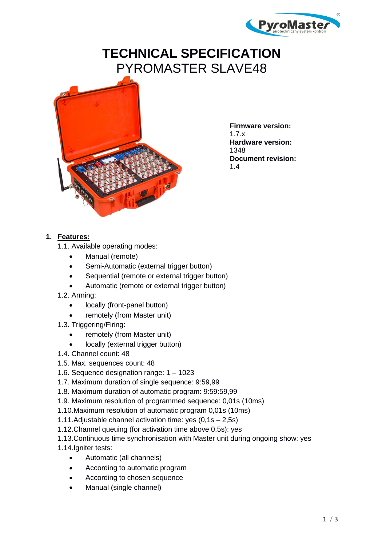

# **TECHNICAL SPECIFICATION** PYROMASTER SLAVE48



**Firmware version:**  1.7.x **Hardware version:** 1348 **Document revision:** 1.4

#### **1. Features:**

- 1.1. Available operating modes:
	- Manual (remote)
	- Semi-Automatic (external trigger button)
	- Sequential (remote or external trigger button)
	- Automatic (remote or external trigger button)
- 1.2. Arming:
	- locally (front-panel button)
	- remotely (from Master unit)
- 1.3. Triggering/Firing:
	- remotely (from Master unit)
	- locally (external trigger button)
- 1.4. Channel count: 48
- 1.5. Max. sequences count: 48
- 1.6. Sequence designation range: 1 1023
- 1.7. Maximum duration of single sequence: 9:59,99
- 1.8. Maximum duration of automatic program: 9:59:59,99
- 1.9. Maximum resolution of programmed sequence: 0,01s (10ms)
- 1.10.Maximum resolution of automatic program 0,01s (10ms)
- 1.11.Adjustable channel activation time: yes (0,1s 2,5s)
- 1.12.Channel queuing (for activation time above 0,5s): yes
- 1.13.Continuous time synchronisation with Master unit during ongoing show: yes
- 1.14.Igniter tests:
	- Automatic (all channels)
	- According to automatic program
	- According to chosen sequence
	- Manual (single channel)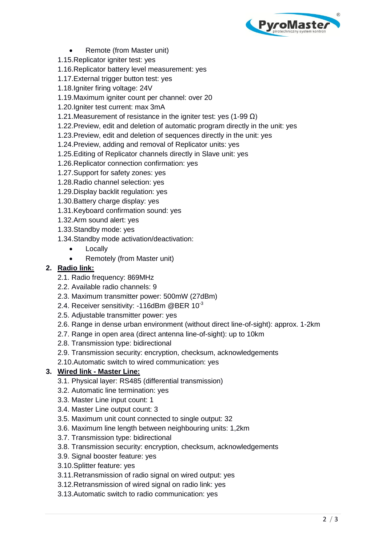

- Remote (from Master unit)
- 1.15.Replicator igniter test: yes
- 1.16.Replicator battery level measurement: yes
- 1.17.External trigger button test: yes
- 1.18.Igniter firing voltage: 24V
- 1.19.Maximum igniter count per channel: over 20
- 1.20.Igniter test current: max 3mA
- 1.21. Measurement of resistance in the igniter test: yes (1-99  $Ω$ )
- 1.22.Preview, edit and deletion of automatic program directly in the unit: yes
- 1.23.Preview, edit and deletion of sequences directly in the unit: yes
- 1.24.Preview, adding and removal of Replicator units: yes
- 1.25.Editing of Replicator channels directly in Slave unit: yes
- 1.26.Replicator connection confirmation: yes
- 1.27.Support for safety zones: yes
- 1.28.Radio channel selection: yes
- 1.29.Display backlit regulation: yes
- 1.30.Battery charge display: yes
- 1.31.Keyboard confirmation sound: yes
- 1.32.Arm sound alert: yes
- 1.33.Standby mode: yes
- 1.34.Standby mode activation/deactivation:
	- Locally
	- Remotely (from Master unit)

### **2. Radio link:**

- 2.1. Radio frequency: 869MHz
- 2.2. Available radio channels: 9
- 2.3. Maximum transmitter power: 500mW (27dBm)
- 2.4. Receiver sensitivity: -116dBm @BER  $10^{-3}$
- 2.5. Adjustable transmitter power: yes
- 2.6. Range in dense urban environment (without direct line-of-sight): approx. 1-2km
- 2.7. Range in open area (direct antenna line-of-sight): up to 10km
- 2.8. Transmission type: bidirectional
- 2.9. Transmission security: encryption, checksum, acknowledgements
- 2.10.Automatic switch to wired communication: yes

# **3. Wired link - Master Line:**

- 3.1. Physical layer: RS485 (differential transmission)
- 3.2. Automatic line termination: yes
- 3.3. Master Line input count: 1
- 3.4. Master Line output count: 3
- 3.5. Maximum unit count connected to single output: 32
- 3.6. Maximum line length between neighbouring units: 1,2km
- 3.7. Transmission type: bidirectional
- 3.8. Transmission security: encryption, checksum, acknowledgements
- 3.9. Signal booster feature: yes
- 3.10.Splitter feature: yes
- 3.11.Retransmission of radio signal on wired output: yes
- 3.12.Retransmission of wired signal on radio link: yes
- 3.13.Automatic switch to radio communication: yes